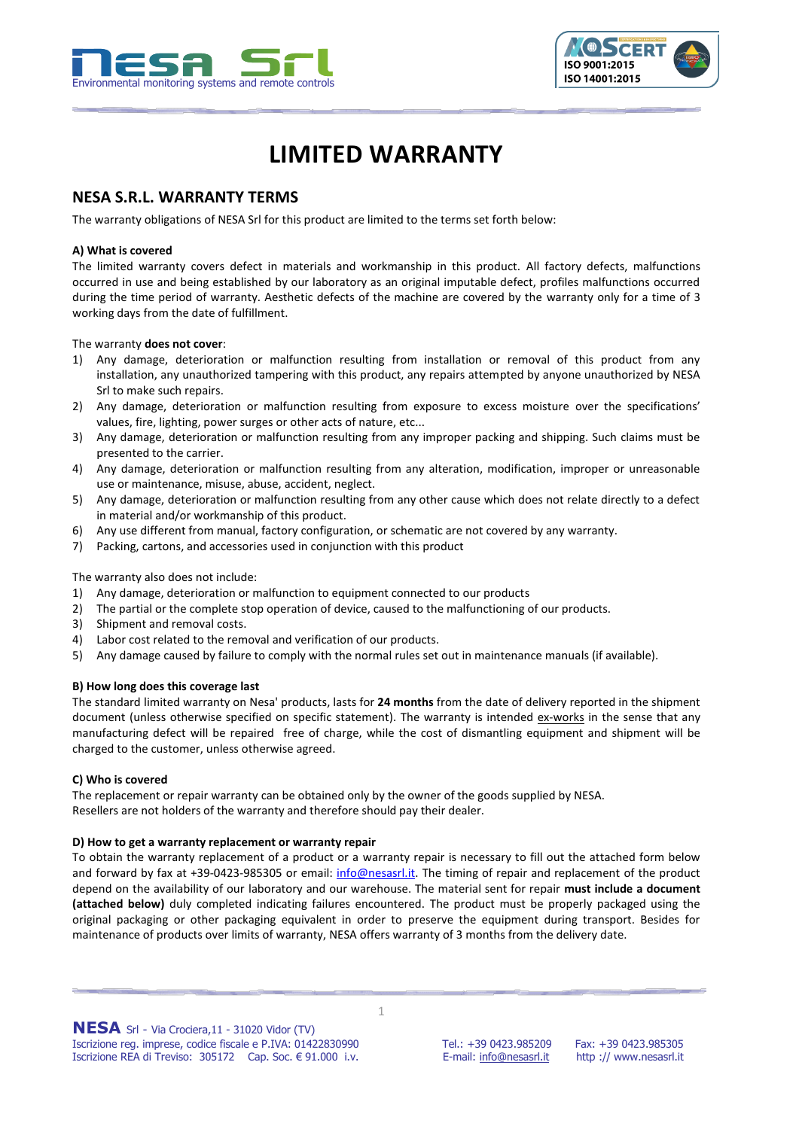



# **LIMITED WARRANTY**

# **NESA S.R.L. WARRANTY TERMS**

The warranty obligations of NESA Srl for this product are limited to the terms set forth below:

#### **A) What is covered**

The limited warranty covers defect in materials and workmanship in this product. All factory defects, malfunctions occurred in use and being established by our laboratory as an original imputable defect, profiles malfunctions occurred during the time period of warranty. Aesthetic defects of the machine are covered by the warranty only for a time of 3 working days from the date of fulfillment.

#### The warranty **does not cover**:

- 1) Any damage, deterioration or malfunction resulting from installation or removal of this product from any installation, any unauthorized tampering with this product, any repairs attempted by anyone unauthorized by NESA Srl to make such repairs.
- 2) Any damage, deterioration or malfunction resulting from exposure to excess moisture over the specifications' values, fire, lighting, power surges or other acts of nature, etc...
- 3) Any damage, deterioration or malfunction resulting from any improper packing and shipping. Such claims must be presented to the carrier.
- 4) Any damage, deterioration or malfunction resulting from any alteration, modification, improper or unreasonable use or maintenance, misuse, abuse, accident, neglect.
- 5) Any damage, deterioration or malfunction resulting from any other cause which does not relate directly to a defect in material and/or workmanship of this product.
- 6) Any use different from manual, factory configuration, or schematic are not covered by any warranty.
- 7) Packing, cartons, and accessories used in conjunction with this product

The warranty also does not include:

- 1) Any damage, deterioration or malfunction to equipment connected to our products
- 2) The partial or the complete stop operation of device, caused to the malfunctioning of our products.
- 3) Shipment and removal costs.
- 4) Labor cost related to the removal and verification of our products.
- 5) Any damage caused by failure to comply with the normal rules set out in maintenance manuals (if available).

#### **B) How long does this coverage last**

The standard limited warranty on Nesa' products, lasts for **24 months** from the date of delivery reported in the shipment document (unless otherwise specified on specific statement). The warranty is intended ex-works in the sense that any manufacturing defect will be repaired free of charge, while the cost of dismantling equipment and shipment will be charged to the customer, unless otherwise agreed.

#### **C) Who is covered**

The replacement or repair warranty can be obtained only by the owner of the goods supplied by NESA. Resellers are not holders of the warranty and therefore should pay their dealer.

#### **D) How to get a warranty replacement or warranty repair**

To obtain the warranty replacement of a product or a warranty repair is necessary to fill out the attached form below and forward by fax at +39-0423-985305 or email: [info@nesasrl.it.](mailto:info@nesasrl.it) The timing of repair and replacement of the product depend on the availability of our laboratory and our warehouse. The material sent for repair **must include a document (attached below)** duly completed indicating failures encountered. The product must be properly packaged using the original packaging or other packaging equivalent in order to preserve the equipment during transport. Besides for maintenance of products over limits of warranty, NESA offers warranty of 3 months from the delivery date.

1